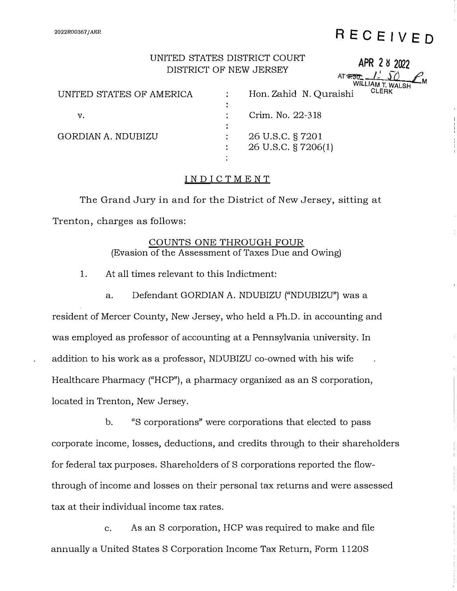#### **2022R00367 / AER**

# **RECEIVED**

**APR 2 � 2022** 

### UNITED STATES DISTRICT COURT DISTRICT OF NEW JERSEY

|                          | DIOTINGT OF BEW OBINDET | AT 8730<br>WILLIAM T. WALSH |       |  |
|--------------------------|-------------------------|-----------------------------|-------|--|
| UNITED STATES OF AMERICA |                         | Hon. Zahid N. Quraishi      | CLERK |  |
|                          |                         |                             |       |  |
| v.                       |                         | Crim. No. 22-318            |       |  |
|                          | ٠                       |                             |       |  |
| GORDIAN A. NDUBIZU       |                         | 26 U.S.C. § 7201            |       |  |
|                          |                         | 26 U.S.C. § 7206(1)         |       |  |
|                          |                         |                             |       |  |

#### **INDICTMENT**

The Grand Jury in and for the District of New Jersey, sitting at Trenton, charges as follows:

#### COUNTS ONE THROUGH FOUR (Evasion of the Assessment of Taxes Due and Owing)

1. At all times relevant to this Indictment:

a. Defendant GORDIAN A. NDUBIZU ("NDUBIZU") was a resident of Mercer County, New Jersey, who held a Ph.D. in accounting and was employed as professor of accounting at a Pennsylvania university. In addition to his work as a professor, NDUBIZU co-owned with his wife Healthcare Pharmacy ("HCP"), a pharmacy organized as an S corporation, located in Trenton, New Jersey.

b. "S corporations" were corporations that elected to pass corporate income, losses, deductions, and credits through to their shareholders for federal tax purposes. Shareholders of S corporations reported the flowthrough of income and losses on their personal tax returns and were assessed tax at their individual income tax rates.

c. As an S corporation, HCP was required to make and file annually a United States S Corporation Income Tax Return, Form l 120S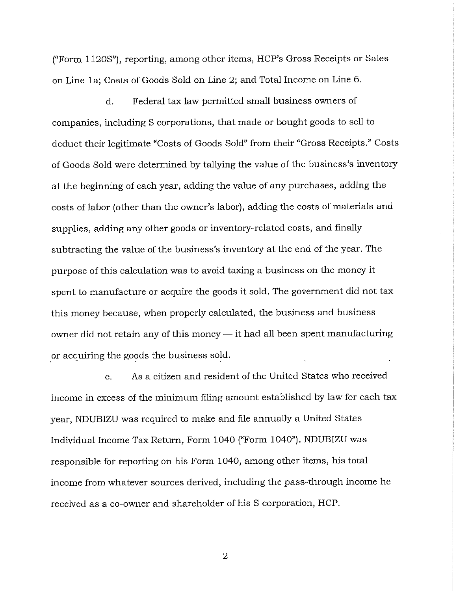("Form 1120S"), reporting, among other items, HCP's Gross Receipts or Sales on Line la; Costs of Goods Sold on Line 2; and Total Income on Line 6.

d. Federal tax law permitted small business owners of companies, including S corporations, that made or bought goods to sell to deduct their legitimate "Costs of Goods Sold" from their "Gross Receipts." Costs of Goods Sold were determined by tallying the value of the business's inventory at the beginning of each year, adding the value of any purchases, adding the costs of labor (other than the owner's labor), adding the costs of materials and supplies, adding any other goods or inventory-related costs, and finally subtracting the value of the business's inventory at the end of the year. The purpose of this calculation was to avoid taxing a business on the money it spent to manufacture or acquire the goods it sold. The government did not tax this money because, when properly calculated, the business and business owner did not retain any of this money  $-$  it had all been spent manufacturing \_or acquiring the goods the business sold.

e. As a citizen and resident of the United States who received income in excess of the minimum filing amount established by law for each tax year, NDUBIZU was required to make and file annually a United States Individual Income Tax Return, Form 1040 ("Form 1040"). NDUBIZU was responsible for reporting on his Form 1040, among other items, his total income from whatever sources derived, including the pass-through income he received as a co-owner and shareholder of his S corporation, HCP.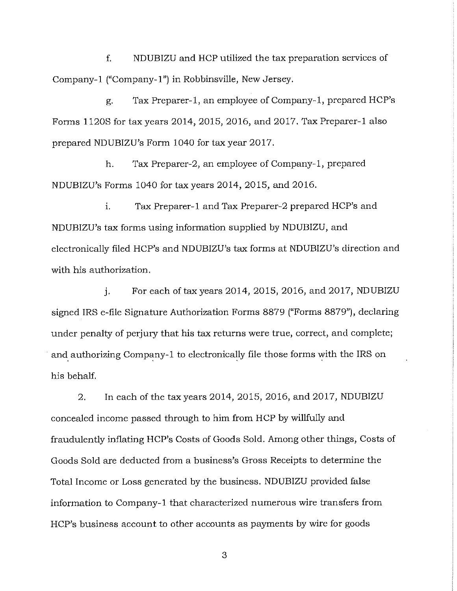f. NDUBIZU and HCP utilized the tax preparation services of Company-I ("Company-I") in Robbinsville, New Jersey.

g. Tax Preparer-I, an employee of Company-I, prepared HCP's Forms l 120S for tax years 2014, 2015, 2016, and 2017, Tax Preparer-I also prepared NDUBIZU's Form 1040 for tax year 2017.

h. Tax Preparer-2, an employee of Company-I, prepared NDUBIZU's Forms 1040 for tax years 2014, 2015, and 2016.

i. Tax Preparer-I and Tax Preparer-2 prepared HCP's and NDUBIZU's tax forms using information supplied by NDUBIZU, and electronically filed HCP's and NDUBIZU's tax forms at NDUBIZU's direction and with his authorization.

j. For each of tax years 2014, 2015, 2016, and 2017, NDUBIZU signed IRS e-file Signature Authorization Forms 8879 ("Forms 8879"), declaring under penalty of perjury that his tax returns were true, correct, and complete; and authorizing Company-1 to electronically file those forms with the IRS on his behalf.

2. In each of the tax years 2014, 2015, 2016, and 2017, NDUBIZU concealed income passed through to him from HCP by willfully and fraudulently inflating HCP's Costs of Goods Sold. Among other things, Costs of Goods Sold are deducted from a business's Gross Receipts to determine the Total Income or Loss generated by the business. NDUBIZU provided false information to Company-I that characterized numerous wire transfers from HCP's business account to other accounts as payments by wire for goods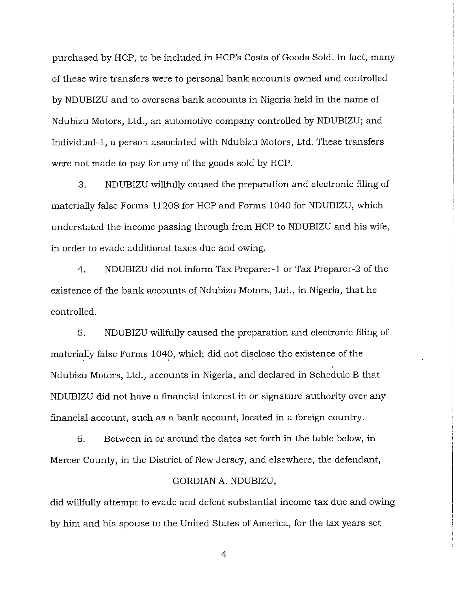purchased by HCP, to be included in HCP's Costs of Goods Sold. In fact, many of these wire transfers were to personal bank accounts owned and controlled by NDUBIZU and to overseas bank accounts in Nigeria held in the name of Ndubizu Motors, Ltd., an automotive company controlled by NDUBIZU; and Individual-1, a person associated with Ndubizu Motors, Ltd. These transfers were not made to pay for any of the goods sold by HCP.

3. NDUBIZU willfully caused the preparation and electronic filing of materially false Forms 1120S for HCP and Forms 1040 for NDUBIZU, which understated the income passing through from HCP to NDUBIZU and his wife, in order to evade additional taxes due and owing.

4. NDUBIZU did not inform Tax Preparer-1 or Tax Preparer-2 of the existence of the bank accounts of Ndubizu Motors, Ltd., in Nigeria, that he controlled.

5. NDUBIZU willfully caused the preparation and electronic filing of materially false Forms 1040, which did not disclose the existence of the Ndubizu Motors, Ltd., accounts in Nigeria, and declared in Schedule B that NDUBIZU did not have a financial interest in or signature authority over any financial account, such as a bank account, located in a foreign country.

6. Between in or around the dates set forth in the table below, in Mercer County, in the District of New Jersey, and elsewhere, the defendant,

#### GORDIAN A. NDUBIZU,

did willfully attempt to evade and defeat substantial income tax due and owing by him and his spouse to the United States of America, for the tax years set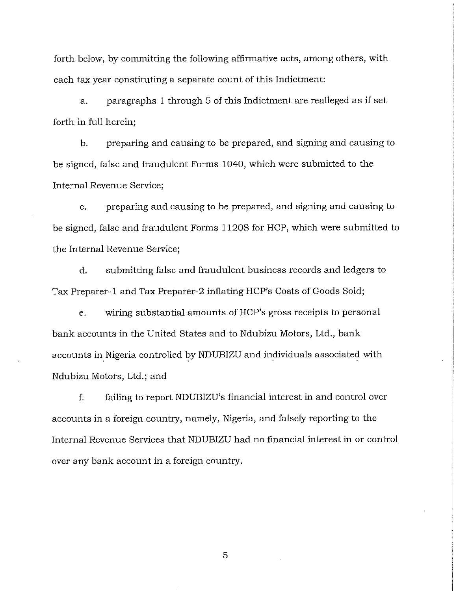forth below, by committing the following affirmative acts, among others, with each tax year constituting a separate count of this Indictment:

a. paragraphs 1 through 5 of this Indictment are realleged as if set forth in full herein;

b. preparing and causing to be prepared, and signing and causing to be signed, false and fraudulent Forms 1040, which were submitted to the Internal Revenue Service;

c. preparing and causing to be prepared, and signing and causing to be signed, false and fraudulent Forms l 120S for HCP, which were submitted to the Internal Revenue Service;

d. submitting false and fraudulent business records and ledgers to Tax Preparer-I and Tax Preparer-2 inflating HCP's Costs of Goods Sold;

e. wiring substantial amounts of HCP's gross receipts to personal bank accounts in the United States and to Ndubizu Motors, Ltd., bank accounts in Nigeria controlled by NDUBIZU and individuals associated with Ndubizu Motors, Ltd.; and

f. failing to report NDUBIZU's financial interest in and control over accounts in a foreign country, namely, Nigeria, and falsely reporting to the Internal Revenue Services that NDUBIZU had no financial interest in or control over any bank account in a foreign country.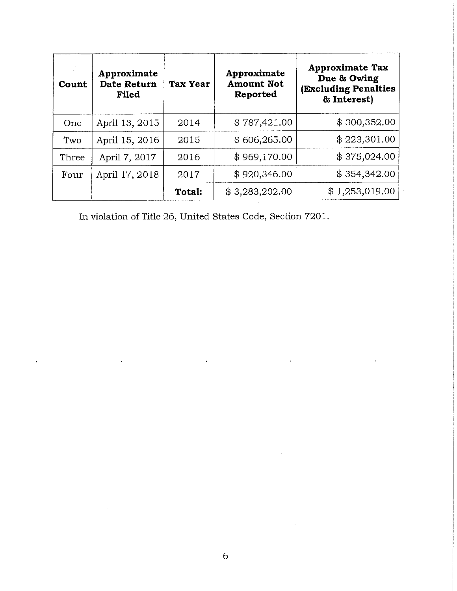| Count | Approximate<br>Date Return<br>Filed | <b>Tax Year</b> | Approximate<br><b>Amount Not</b><br>Reported | <b>Approximate Tax</b><br>Due & Owing<br><b>(Excluding Penalties</b><br>& Interest) |
|-------|-------------------------------------|-----------------|----------------------------------------------|-------------------------------------------------------------------------------------|
| One   | April 13, 2015                      | 2014            | \$787,421.00                                 | \$300,352.00                                                                        |
| Two   | April 15, 2016                      | 2015            | \$606,265.00                                 | \$223,301.00                                                                        |
| Three | April 7, 2017                       | 2016            | \$969,170.00                                 | \$375,024.00                                                                        |
| Four  | April 17, 2018                      | 2017            | \$920,346.00                                 | \$354,342.00                                                                        |
|       |                                     | Total:          | \$3,283,202.00                               | \$1,253,019.00                                                                      |

In violation of Title 26, United States Code, Section 7201.

 $\ddot{\phantom{0}}$ 

 $\ddot{\phantom{0}}$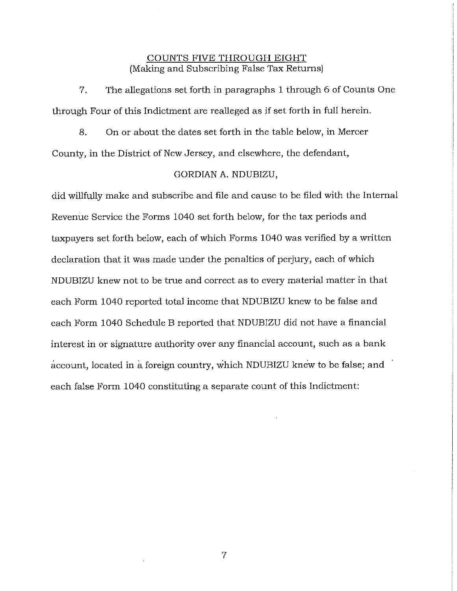#### COUNTS FIVE THROUGH EIGHT (Making and Subscribing False Tax Returns)

7. The allegations set forth in paragraphs 1 through 6 of Counts One through Four of this Indictment are realleged as if set forth in full herein.

8. On or about the dates set forth in the table below, in Mercer County, in the District of New Jersey, and elsewhere, the defendant,

#### GORDIAN A. NDUBIZU,

did willfully make and subscribe and file and cause to be filed with the Internal Revenue Service the Forms 1040 set forth below, for the tax periods and taxpayers set forth below, each of which Forms 1040 was verified by a written declaration that it was made under the penalties of perjury, each of which NDUBIZU knew not to be true and correct as to every material matter in that each Form 1040 reported total income that NDUBIZU knew to be false and each Form 1040 Schedule B reported that NDUBIZU did not have a financial interest in or signature authority over any financial account, such as a bank account, located in a foreign country, which NDUBIZU knew to be false; and each false Form 1040 constituting a separate count of this Indictment: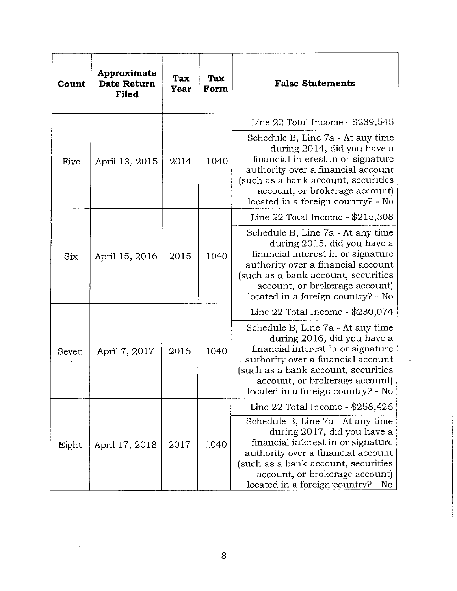| Count | Approximate<br><b>Date Return</b><br>Filed | Tax<br>Year | Tax<br>Form | <b>False Statements</b>                                                                                                                                                                                                                                     |
|-------|--------------------------------------------|-------------|-------------|-------------------------------------------------------------------------------------------------------------------------------------------------------------------------------------------------------------------------------------------------------------|
|       |                                            |             |             | Line 22 Total Income - \$239,545                                                                                                                                                                                                                            |
| Five  | April 13, 2015                             | 2014        | 1040        | Schedule B, Line 7a - At any time<br>during 2014, did you have a<br>financial interest in or signature<br>authority over a financial account<br>(such as a bank account, securities<br>account, or brokerage account)<br>located in a foreign country? - No |
| Six   | April 15, 2016                             | 2015        | 1040        | Line 22 Total Income - \$215,308                                                                                                                                                                                                                            |
|       |                                            |             |             | Schedule B, Line 7a - At any time<br>during 2015, did you have a<br>financial interest in or signature<br>authority over a financial account<br>(such as a bank account, securities<br>account, or brokerage account)<br>located in a foreign country? - No |
| Seven | April 7, 2017                              | 2016        | 1040        | Line 22 Total Income - \$230,074                                                                                                                                                                                                                            |
|       |                                            |             |             | Schedule B, Line 7a - At any time<br>during 2016, did you have a<br>financial interest in or signature<br>authority over a financial account<br>(such as a bank account, securities<br>account, or brokerage account)<br>located in a foreign country? - No |
| Eight | April 17, 2018                             | 2017        | 1040        | Line 22 Total Income - \$258,426                                                                                                                                                                                                                            |
|       |                                            |             |             | Schedule B, Line 7a - At any time<br>during 2017, did you have a<br>financial interest in or signature<br>authority over a financial account<br>(such as a bank account, securities<br>account, or brokerage account)<br>located in a foreign country? - No |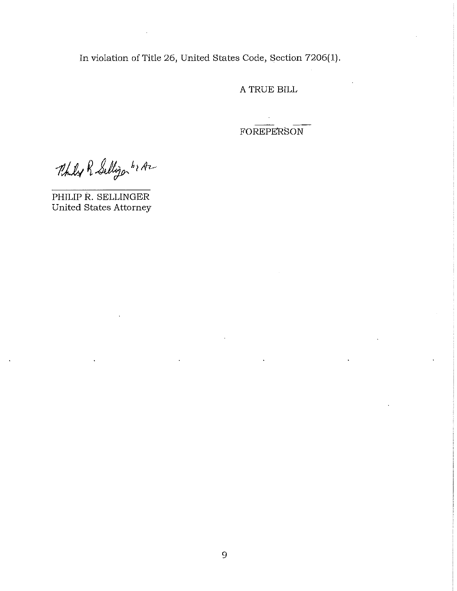In violation of Title 26, United States Code, Section 7206(1).

A TRUE BILL

**FOREPERSON** 

Philip R Selligon hr Az

PHILIP R. SELLINGER United States Attorney